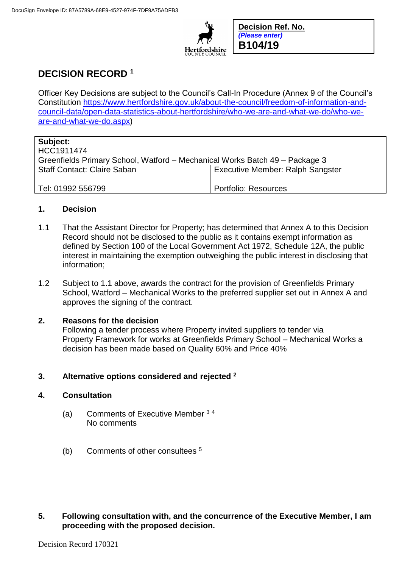

**Decision Ref. No.** *(Please enter)* **B104/19**

# **DECISION RECORD <sup>1</sup>**

Officer Key Decisions are subject to the Council's Call-In Procedure (Annex 9 of the Council's Constitution [https://www.hertfordshire.gov.uk/about-the-council/freedom-of-information-and](https://www.hertfordshire.gov.uk/about-the-council/freedom-of-information-and-council-data/open-data-statistics-about-hertfordshire/who-we-are-and-what-we-do/who-we-are-and-what-we-do.aspx)[council-data/open-data-statistics-about-hertfordshire/who-we-are-and-what-we-do/who-we](https://www.hertfordshire.gov.uk/about-the-council/freedom-of-information-and-council-data/open-data-statistics-about-hertfordshire/who-we-are-and-what-we-do/who-we-are-and-what-we-do.aspx)[are-and-what-we-do.aspx\)](https://www.hertfordshire.gov.uk/about-the-council/freedom-of-information-and-council-data/open-data-statistics-about-hertfordshire/who-we-are-and-what-we-do/who-we-are-and-what-we-do.aspx)

| Subject:                                                                    |                                         |
|-----------------------------------------------------------------------------|-----------------------------------------|
| HCC1911474                                                                  |                                         |
| Greenfields Primary School, Watford – Mechanical Works Batch 49 – Package 3 |                                         |
| <b>Staff Contact: Claire Saban</b>                                          | <b>Executive Member: Ralph Sangster</b> |
| Tel: 01992 556799                                                           | Portfolio: Resources                    |

### **1. Decision**

- 1.1 That the Assistant Director for Property; has determined that Annex A to this Decision Record should not be disclosed to the public as it contains exempt information as defined by Section 100 of the Local Government Act 1972, Schedule 12A, the public interest in maintaining the exemption outweighing the public interest in disclosing that information;
- 1.2 Subject to 1.1 above, awards the contract for the provision of Greenfields Primary School, Watford – Mechanical Works to the preferred supplier set out in Annex A and approves the signing of the contract.

#### **2. Reasons for the decision**

Following a tender process where Property invited suppliers to tender via Property Framework for works at Greenfields Primary School – Mechanical Works a decision has been made based on Quality 60% and Price 40%

#### **3. Alternative options considered and rejected <sup>2</sup>**

#### **4. Consultation**

- (a) Comments of Executive Member <sup>3</sup> <sup>4</sup> No comments
- (b) Comments of other consultees <sup>5</sup>
- **5. Following consultation with, and the concurrence of the Executive Member, I am proceeding with the proposed decision.**